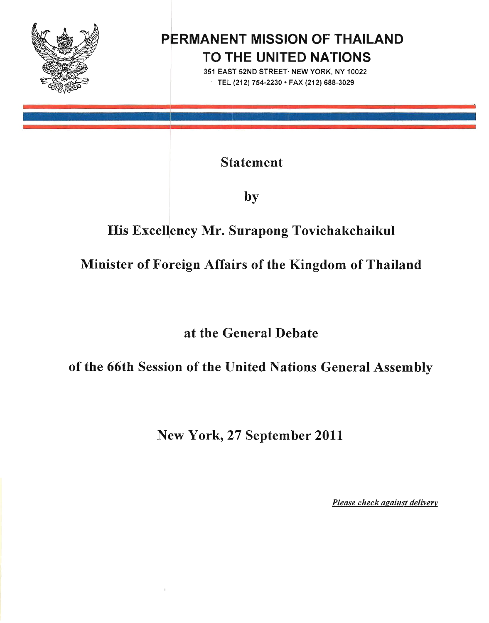

# **PERMANENT MISSION OF THAILAND TO THE UNITED NATIONS**

351 EAST 52ND STREET· NEW YORK. NY 10022 TEL (212) 754-2230 • FAX (212) 688-3029

Statement

by

# His Excellency Mr. Surapong Tovichakchaikul

# Minister of Foreign Affairs of the Kingdom of Thailand

at the General Debate

of the 66th Session of the United Nations General Assembly

New York, 27 September 2011

*Please check against delivery*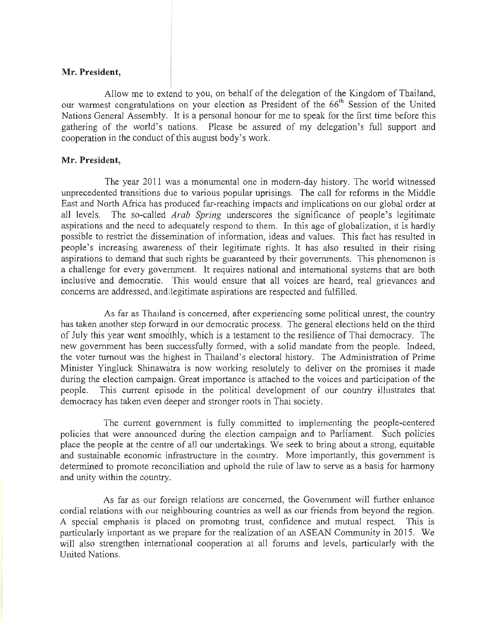#### **Mr. President,**

Allow me to extend to you, on behalf of the delegation of the Kingdom of Thailand, our warmest congratulations on your election as President of the 66<sup>th</sup> Session of the United Nations General Assembly. It is a personal honour for me to speak for the first time before this gathering of the world's nations. Please be assured of my delegation's full support and cooperation in the conduct of this august body's work.

## **Mr. President,**

The year 2011 was a monumental one in modern-day history. The world witnessed unprecedented transitions due to various popular uprisings. The call for reforms in the Middle East and North Africa has produced far-reaching impacts and implications on our global order at all levels. The so-called *Arab Spring* underscores the significance of people's legitimate aspirations and the need to adequately respond to them. In this age of globalization, it is hardly possible to restrict the dissemination of information, ideas and values. This fact has resulted in people's increasing awareness of their legitimate rights. It has also resulted in their rising aspirations to demand that such rights be guaranteed by their governments. This phenomenon is a challenge for every government. It requires national and international systems that are both inclusive and democratic. This would ensure that all voices are heard, real grievances and concerns are addressed, and legitimate aspirations are respected and fulfilled.

As far as Thailand is concerned, after experiencing some political unrest, the country has taken another step forward in our democratic process. The general elections held on the third of July this year went smoothly, which is a testament to the resilience of Thai democracy. The new government has been successfully formed, with a solid mandate from the people. Indeed, the voter turnout was the highest in Thailand's electoral history. The Administration of Prime Minister Yingluck Shinawatra is now working resolutely to deliver on the promises it made during the election campaign. Great importance is attached to the voices and participation of the people. This current episode in the political development of our country illustrates that democracy has taken even deeper and stronger roots in Thai society.

The current government is fully committed to implementing the people-centered policies that were announced during the election campaign and to Parliament. Such policies place the people at the centre of all our undertakings. We seek to bring about a strong, equitable and sustainable economic infrastructure in the country. More importantly, this government is determined to promote reconciliation and uphold the rule of law to serve as a basis for harmony and unity within the country.

As far as our foreign relations are concerned, the Government will further enhance cordial relations with our neighbouring countries as well as our friends from beyond the region. A special emphasis is placed on promoting trust, confidence and mutual respect. This is particularly important as we prepare for the realization of an ASEAN Community in 2015. We will also strengthen international cooperation at all forums and levels, particularly with the United Nations.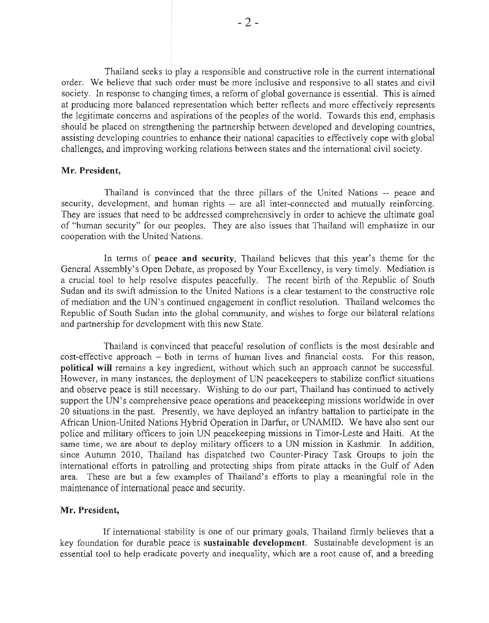Thailand seeks to play a responsible and constructive role in the current international order. We believe that such order must be more inclusive and responsive to all states and civil society. In response to changing times, a reform of global governance is essential. This is aimed at producing more balanced representation which better reflects and more effectively represents the legitimate concerns and aspirations of the peoples of the world. Towards this end, emphasis should be placed on strengthening the partnership between developed and developing countries, assisting developing countries to enhance their national capacities to effectively cope with global challenges. and improving working relations between states and the international civil society.

#### Mr. President,

Thailand is convinced that the three pillars of the United Nations -- peace and security, development, and human rights -- are all inter-connected and mutually reinforcing. They are issues that need to be addressed comprehensively in order to achieve the ultimate goal of "human security" for our peoples. They are also issues that Thailand will emphasize in our cooperation with the United Nations.

In terms of **peace and security**, Thailand believes that this year's theme for the General Assembly's Open Debate, as proposed by Your Excellency, is very timely. Mediation is a crucial tool to help resolve disputes peacefully. The recent birth of the Republic of South Sudan and its swift admission to the United Nations is a clear testament to the constructive role of mediation and the UN's continued engagement in conflict resolution. Thailand welcomes the Republic of South Sudan into the global community, and wishes to forge our bilateral relations and partnership for development with this new State.

Thailand is convinced that peaceful resolution of conflicts is the most desirable and  $cost\text{-effective approach} - \text{both}$  in terms of human lives and financial costs. For this reason, **political will** remains a key ingredient, without which such an approach cannot be successful. However, in many instances, the deployment of UN peacekeepers to stabilize conflict situations and observe peace is still necessary. Wishing to do our part, Thailand has continued to actively support the UN's comprehensive peace operations and peacekeeping missions worldwide in over 20 situations in the past. Presently, we have deployed an infantry battalion to participate in the African Union-United Nations Hybrid Operation in Darfur. or UNAMID. We have also sent our police and military officers to join UN peacekeeping missions in Timor-Leste and Haiti. At the same time, we are about to deploy military officers to a UN mission in Kashmir. In addition, since Autumn 2010, Thailand has dispatched two Counter-Piracy Task Groups to join the international efforts in patrolling and protecting ships from pirate attacks in the Gulf of Aden area. These are but a few examples of Thailand's efforts to play a meaningful role in the maintenance of international peace and security.

## Mr. President,

If international stability is one of our primary goals, Thailand firmly believes that a key foundation for durable peace is sustainable **development.** Sustainable development is an essential tool to help eradicate poverty and inequality, which are a root cause of, and a breeding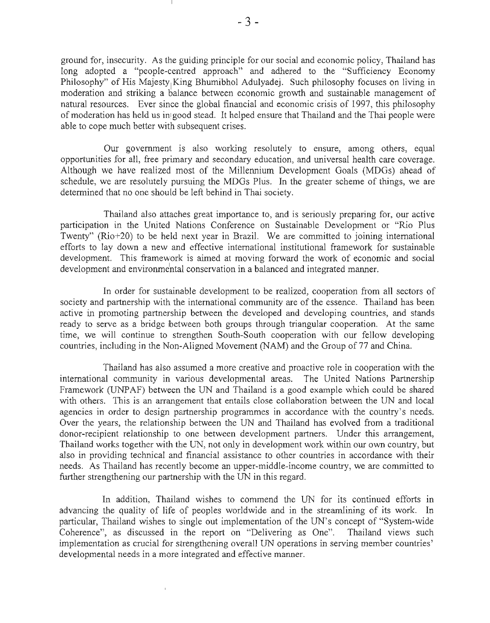ground for, insecurity. As the guiding principle for our social and economic policy, Thailand has long adopted a "people-centred approach" and adhered to the "Sufficiency Economy Philosophy" of His Majesty King Bhumibhol Adulyadej. Such philosophy focuses on living in moderation and striking a balance between economic growth and sustainable management of natural resources. Ever since the global financial and economic crisis of 1997, this philosophy of moderation has held us in good stead. It helped ensure that Thailand and the Thai people were able to cope much better with subsequent crises.

Our government is also working resolutely to ensure, among others, equal opportunities for all, free primary and secondary education, and universal health care coverage. Although we have realized most of the Millennium Development Goals (MDGs) ahead of schedule, we are resolutely pursuing the MDGs Plus. In the greater scheme of things, we are determined that no one should be left behind in Thai society.

Thailand also attaches great importance to, and is seriously preparing for, our active participation in the United Nations Conference on Sustainable Development or "Rio Plus Twenty" (Rio+20) to be held next year in Brazil. We are committed to joining international efforts to lay down a new and effective international institutional framework for sustainable development. This framework is aimed at moving forward the work of economic and social development and environmental conservation in a balanced and integrated manner.

In order for sustainable development to be realized, cooperation from all sectors of society and partnership with the international community are of the essence. Thailand has been active in promoting partnership berween the developed and developing countries, and stands ready to serve as a bridge between both groups through triangular cooperation. At the same time, we will continue to strengthen South-South cooperation with our fellow developing countries, including in the Non-Aligned Movement (NAM) and the Group of 77 and China.

Thailand has also assumed a more creative and proactive role in cooperation with the international community in various developmental areas. The United Nations Partnership Framework (UNPAF) between the UN and Thailand is a good example which could be shared with others. This is an arrangement that entails close collaboration between the UN and local agencies in order to design partnership programmes in accordance with the country's needs. Over the years, the relationship between the UN and Thailand has evolved from a traditional donor-recipient relationship to one between development partners. Under this arrangement, Thailand works together with the UN, not only in development work within our own country, but also in providing technical and financial assistance to other countries in accordance with their needs. As Thailand has recently become an upper-middle-income country, we are committed to further strengthening our partnership with the UN in this regard.

In addition, Thailand wishes to commend the UN for its continued efforts in advancing the quality of life of peoples worldwide and in the streamlining of its work. In particular, Thailand wishes to single out implementation of the UN's concept of "System-wide Coherence", as discussed in the report on "Delivering as One". Thailand views such implementation as crucial for strengthening overall UN operations in serving member countries' developmental needs in a more integrated and effective manner.

 $\bar{1}$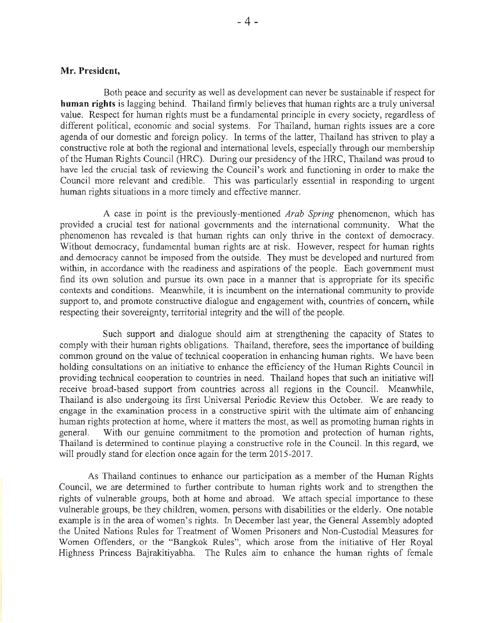#### **Mr. President,**

Both peace and security as well as development can never be sustainable if respect for **human rights** is lagging behind. Thailand firmly believes that human rights are a truly universal value. Respect for human rights must be a fundamental principle **in** every society, regardless of different political, economic and social systems. For Thailand, human rights issues are a core agenda of our domestic and foreign policy. In terms of the latter, Thailand has striven to playa constructive role at both the regional and international levels, especially through our membership of the Human Rights Council (HRC). During our presidency of the HRC, Thailand was proud to have led the crucial task of reviewing the Council's work and functioning in order to make the Council more relevant and credible. This was particularly essential in responding to urgent human rights situations in a more timely and effective manner.

A case in point is the previously-mentioned *Arab Spring* phenomenon, which has provided a crucial test for national governments and the international community. What the phenomenon has revealed is that human rights can only thrive in the context of democracy. Without democracy, fundamental human rights are at risk. However, respect for human rights and democracy cannot be imposed from the outside. They must be developed and nurtured from within, in accordance with the readiness and aspirations of the people. Each government must find its own solution and pursue its own pace in a manner that is appropriate for its specific contexts and conditions. Meanwhile, it is incumbent on the international community to provide support to, and promote constructive dialogue and engagement with, countries of concern, while respecting their sovereignty, territorial integrity and the will of the people.

Such support and dialogue should aim at strengthening the capacity of States to comply with their human rights obligations. Thailand, therefore, sees the importance of building common ground on the value of technical cooperation **in** enhancing human rights. We have been holding consultations on an initiative to enhance the efficiency of the Human Rights Council in providing technical cooperation to countries in need. Thailand hopes that such an initiative will receive broad-based support from countries across all regions in the Council. Meanwhile, Thailand is also undergoing its first Universal Periodic Review this October. We are ready to engage in the examination process in a constructive spirit with the ultimate aim of enhancing human rights protection at home, where it matters the most, as well as promoting human rights in general. With our genuine commitment to the promotion and protection of human rights, Thailand is determined to continue playing a constructive role in the Council. In this regard, we will proudly stand for election once again for the term 2015-2017.

As Thailand continues to enhance our participation as a member of the Human Rights Council, we are determined to further contribute to human rights work and to strengthen the rights of vulnerable groups, both at home and abroad. We attach special importance to these vulnerable groups, be they children, women, persons with disabilities or the elderly. One notable example is in the area of women's rights. In December last year, the General Assembly adopted the United Nations Rules for Treatment of Women Prisoners and Non-Custodial Measures for Women Offenders, or the "Bangkok Rules", which arose from the initiative of Her Royal Higlmess Princess Bajrakitiyabha. The Rules aim to enhance the human rights of female